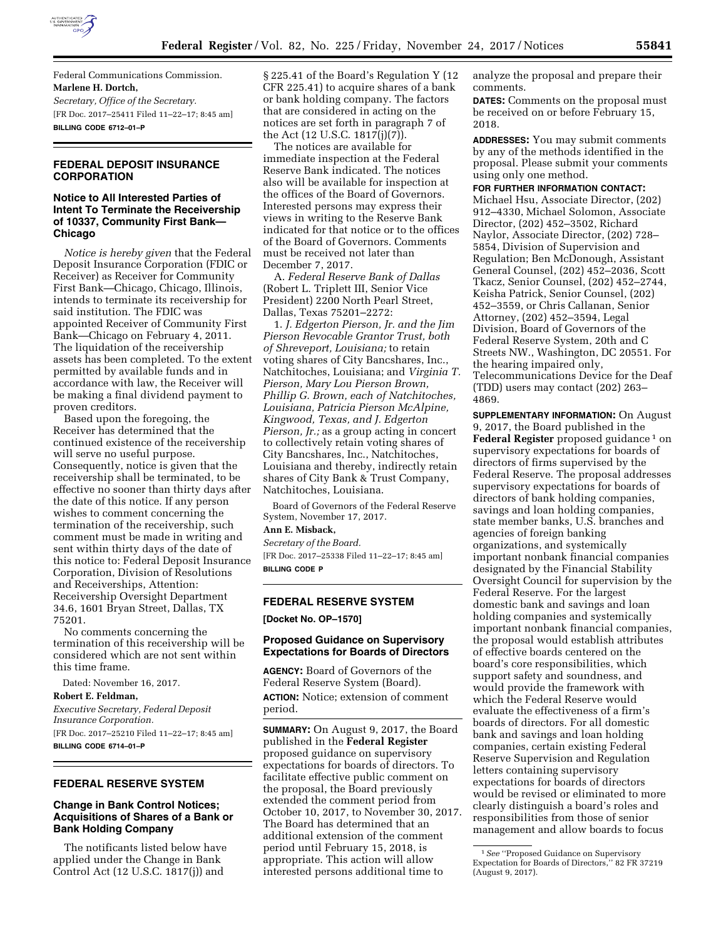

Federal Communications Commission. **Marlene H. Dortch,**  *Secretary, Office of the Secretary.*  [FR Doc. 2017–25411 Filed 11–22–17; 8:45 am] **BILLING CODE 6712–01–P** 

## **FEDERAL DEPOSIT INSURANCE CORPORATION**

## **Notice to All Interested Parties of Intent To Terminate the Receivership of 10337, Community First Bank— Chicago**

*Notice is hereby given* that the Federal Deposit Insurance Corporation (FDIC or Receiver) as Receiver for Community First Bank—Chicago, Chicago, Illinois, intends to terminate its receivership for said institution. The FDIC was appointed Receiver of Community First Bank—Chicago on February 4, 2011. The liquidation of the receivership assets has been completed. To the extent permitted by available funds and in accordance with law, the Receiver will be making a final dividend payment to proven creditors.

Based upon the foregoing, the Receiver has determined that the continued existence of the receivership will serve no useful purpose. Consequently, notice is given that the receivership shall be terminated, to be effective no sooner than thirty days after the date of this notice. If any person wishes to comment concerning the termination of the receivership, such comment must be made in writing and sent within thirty days of the date of this notice to: Federal Deposit Insurance Corporation, Division of Resolutions and Receiverships, Attention: Receivership Oversight Department 34.6, 1601 Bryan Street, Dallas, TX 75201.

No comments concerning the termination of this receivership will be considered which are not sent within this time frame.

Dated: November 16, 2017.

**Robert E. Feldman,**  *Executive Secretary, Federal Deposit Insurance Corporation.*  [FR Doc. 2017–25210 Filed 11–22–17; 8:45 am] **BILLING CODE 6714–01–P** 

#### **FEDERAL RESERVE SYSTEM**

## **Change in Bank Control Notices; Acquisitions of Shares of a Bank or Bank Holding Company**

The notificants listed below have applied under the Change in Bank Control Act (12 U.S.C. 1817(j)) and

§ 225.41 of the Board's Regulation Y (12 CFR 225.41) to acquire shares of a bank or bank holding company. The factors that are considered in acting on the notices are set forth in paragraph 7 of the Act (12 U.S.C. 1817(j)(7).

The notices are available for immediate inspection at the Federal Reserve Bank indicated. The notices also will be available for inspection at the offices of the Board of Governors. Interested persons may express their views in writing to the Reserve Bank indicated for that notice or to the offices of the Board of Governors. Comments must be received not later than December 7, 2017.

A. *Federal Reserve Bank of Dallas*  (Robert L. Triplett III, Senior Vice President) 2200 North Pearl Street, Dallas, Texas 75201–2272:

1. *J. Edgerton Pierson, Jr. and the Jim Pierson Revocable Grantor Trust, both of Shreveport, Louisiana;* to retain voting shares of City Bancshares, Inc., Natchitoches, Louisiana; and *Virginia T. Pierson, Mary Lou Pierson Brown, Phillip G. Brown, each of Natchitoches, Louisiana, Patricia Pierson McAlpine, Kingwood, Texas, and J. Edgerton Pierson, Jr.;* as a group acting in concert to collectively retain voting shares of City Bancshares, Inc., Natchitoches, Louisiana and thereby, indirectly retain shares of City Bank & Trust Company, Natchitoches, Louisiana.

Board of Governors of the Federal Reserve System, November 17, 2017.

**Ann E. Misback,** 

*Secretary of the Board.*  [FR Doc. 2017–25338 Filed 11–22–17; 8:45 am] **BILLING CODE P** 

#### **FEDERAL RESERVE SYSTEM**

**[Docket No. OP–1570]** 

#### **Proposed Guidance on Supervisory Expectations for Boards of Directors**

**AGENCY:** Board of Governors of the Federal Reserve System (Board). **ACTION:** Notice; extension of comment period.

**SUMMARY:** On August 9, 2017, the Board published in the **Federal Register**  proposed guidance on supervisory expectations for boards of directors. To facilitate effective public comment on the proposal, the Board previously extended the comment period from October 10, 2017, to November 30, 2017. The Board has determined that an additional extension of the comment period until February 15, 2018, is appropriate. This action will allow interested persons additional time to

analyze the proposal and prepare their comments.

**DATES:** Comments on the proposal must be received on or before February 15, 2018.

**ADDRESSES:** You may submit comments by any of the methods identified in the proposal. Please submit your comments using only one method.

## **FOR FURTHER INFORMATION CONTACT:**

Michael Hsu, Associate Director, (202) 912–4330, Michael Solomon, Associate Director, (202) 452–3502, Richard Naylor, Associate Director, (202) 728– 5854, Division of Supervision and Regulation; Ben McDonough, Assistant General Counsel, (202) 452–2036, Scott Tkacz, Senior Counsel, (202) 452–2744, Keisha Patrick, Senior Counsel, (202) 452–3559, or Chris Callanan, Senior Attorney, (202) 452–3594, Legal Division, Board of Governors of the Federal Reserve System, 20th and C Streets NW., Washington, DC 20551. For the hearing impaired only, Telecommunications Device for the Deaf (TDD) users may contact (202) 263– 4869.

**SUPPLEMENTARY INFORMATION:** On August 9, 2017, the Board published in the Federal Register proposed guidance<sup>1</sup> on supervisory expectations for boards of directors of firms supervised by the Federal Reserve. The proposal addresses supervisory expectations for boards of directors of bank holding companies, savings and loan holding companies, state member banks, U.S. branches and agencies of foreign banking organizations, and systemically important nonbank financial companies designated by the Financial Stability Oversight Council for supervision by the Federal Reserve. For the largest domestic bank and savings and loan holding companies and systemically important nonbank financial companies, the proposal would establish attributes of effective boards centered on the board's core responsibilities, which support safety and soundness, and would provide the framework with which the Federal Reserve would evaluate the effectiveness of a firm's boards of directors. For all domestic bank and savings and loan holding companies, certain existing Federal Reserve Supervision and Regulation letters containing supervisory expectations for boards of directors would be revised or eliminated to more clearly distinguish a board's roles and responsibilities from those of senior management and allow boards to focus

<sup>1</sup>*See* ''Proposed Guidance on Supervisory Expectation for Boards of Directors,'' 82 FR 37219 (August 9, 2017).